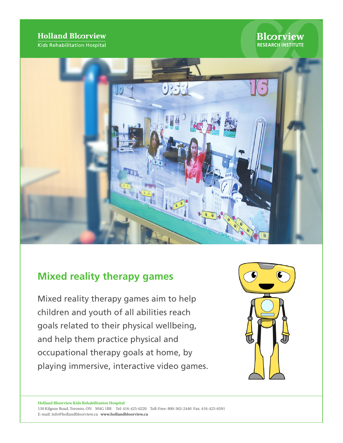## **Holland Bloorview**

Kids Rehabilitation Hospital

## **Blcorview RESEARCH INSTITUTE**



# **Mixed reality therapy games**

Mixed reality therapy games aim to help children and youth of all abilities reach goals related to their physical wellbeing, and help them practice physical and occupational therapy goals at home, by playing immersive, interactive video games.



**Holland Bloorview Kids Rehabilitation Hospital**  150 Kilgour Road, Toronto, ON M4G 1R8 Tel: 416-425-6220 Toll-Free: 800-363-2440 Fax: 416-425-6591 E-mail: info@hollandbloorview.ca **www.hollandbloorview.ca**